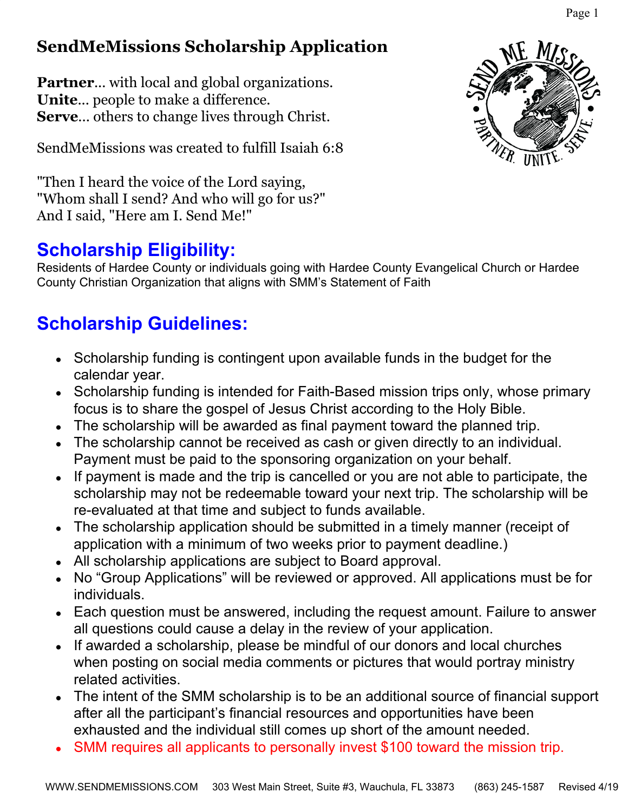## **SendMeMissions Scholarship Application**

**Partner...** with local and global organizations. **Unite**... people to make a difference. **Serve**... others to change lives through Christ.

SendMeMissions was created to fulfill Isaiah 6:8

"Then I heard the voice of the Lord saying, "Whom shall I send? And who will go for us?" And I said, "Here am I. Send Me!"

## **Scholarship Eligibility:**

Residents of Hardee County or individuals going with Hardee County Evangelical Church or Hardee County Christian Organization that aligns with SMM's Statement of Faith

# **Scholarship Guidelines:**

- Scholarship funding is contingent upon available funds in the budget for the calendar year.
- Scholarship funding is intended for Faith-Based mission trips only, whose primary focus is to share the gospel of Jesus Christ according to the Holy Bible.
- The scholarship will be awarded as final payment toward the planned trip.
- The scholarship cannot be received as cash or given directly to an individual. Payment must be paid to the sponsoring organization on your behalf.
- If payment is made and the trip is cancelled or you are not able to participate, the scholarship may not be redeemable toward your next trip. The scholarship will be re-evaluated at that time and subject to funds available.
- The scholarship application should be submitted in a timely manner (receipt of application with a minimum of two weeks prior to payment deadline.)
- All scholarship applications are subject to Board approval.
- No "Group Applications" will be reviewed or approved. All applications must be for individuals.
- Each question must be answered, including the request amount. Failure to answer all questions could cause a delay in the review of your application.
- If awarded a scholarship, please be mindful of our donors and local churches when posting on social media comments or pictures that would portray ministry related activities.
- The intent of the SMM scholarship is to be an additional source of financial support after all the participant's financial resources and opportunities have been exhausted and the individual still comes up short of the amount needed.
- SMM requires all applicants to personally invest \$100 toward the mission trip.



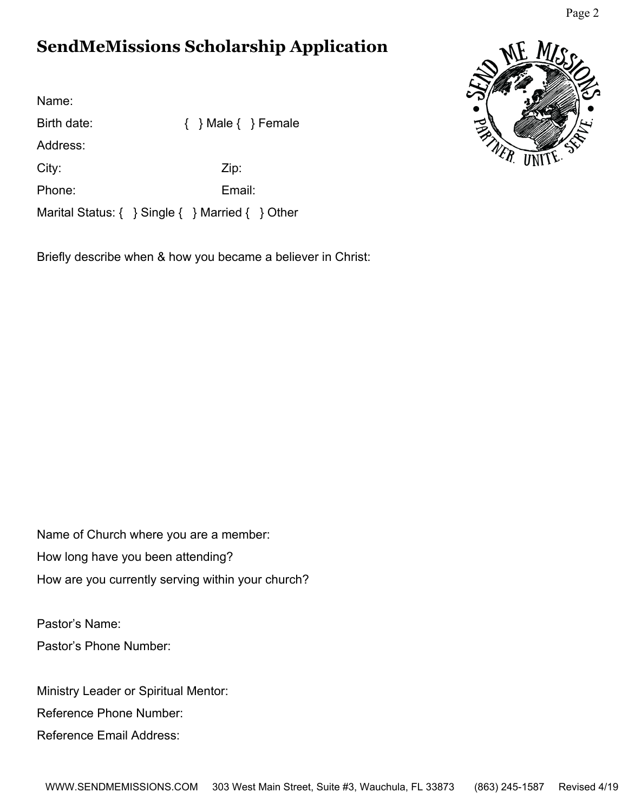### **SendMeMissions Scholarship Application**

Name: Birth date:  $\{ \}$  Male  $\{ \}$  Female Address: City: Zip: Phone: Email: Marital Status: { } Single { } Married { } Other

Briefly describe when & how you became a believer in Christ:



Pastor's Name: Pastor's Phone Number:

Ministry Leader or Spiritual Mentor:

Reference Phone Number:

Reference Email Address:



Page 2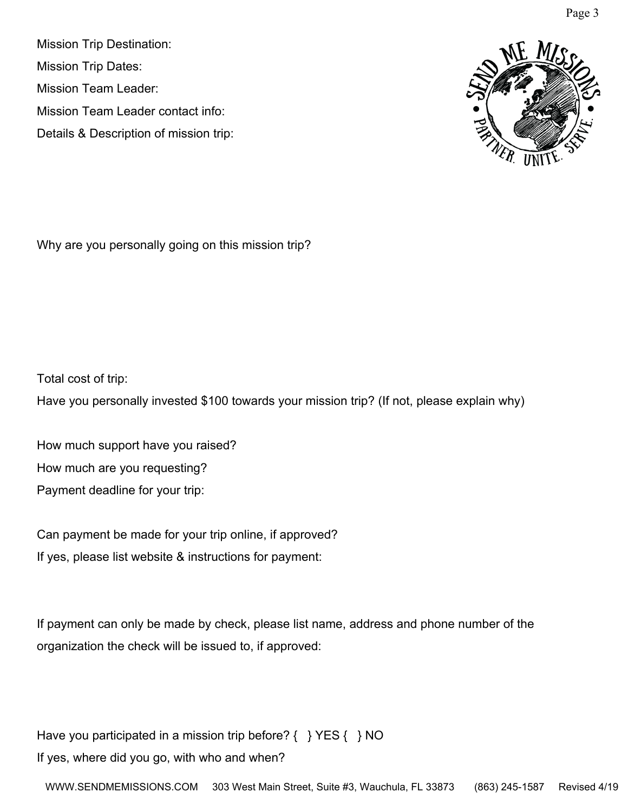Mission Trip Destination: Mission Trip Dates: Mission Team Leader: Mission Team Leader contact info: Details & Description of mission trip:



Why are you personally going on this mission trip?

Total cost of trip:

Have you personally invested \$100 towards your mission trip? (If not, please explain why)

How much support have you raised? How much are you requesting? Payment deadline for your trip:

Can payment be made for your trip online, if approved? If yes, please list website & instructions for payment:

If payment can only be made by check, please list name, address and phone number of the organization the check will be issued to, if approved:

Have you participated in a mission trip before?  $\{\}$  YES  $\{\}$  NO If yes, where did you go, with who and when?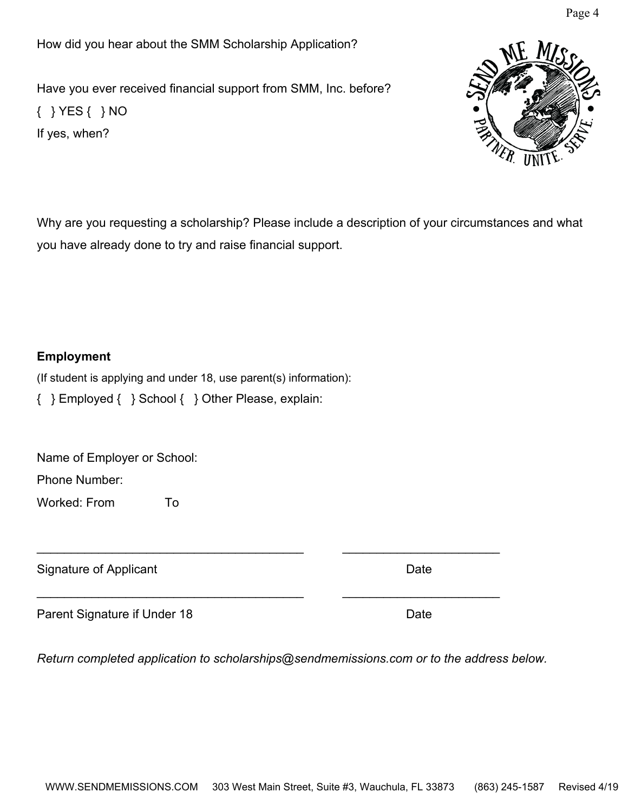How did you hear about the SMM Scholarship Application?

Have you ever received financial support from SMM, Inc. before? { } YES { } NO If yes, when?

Why are you requesting a scholarship? Please include a description of your circumstances and what you have already done to try and raise financial support.

#### **Employment**

(If student is applying and under 18, use parent(s) information):

{ } Employed { } School { } Other Please, explain:

Name of Employer or School:

Phone Number:

Worked: From To

Signature of Applicant Date **Date** 

Parent Signature if Under 18 Date

*Return completed application to scholarships@sendmemissions.com or to the address below.*

\_\_\_\_\_\_\_\_\_\_\_\_\_\_\_\_\_\_\_\_\_\_\_\_\_\_\_\_\_\_\_\_\_\_\_\_\_\_\_ \_\_\_\_\_\_\_\_\_\_\_\_\_\_\_\_\_\_\_\_\_\_\_